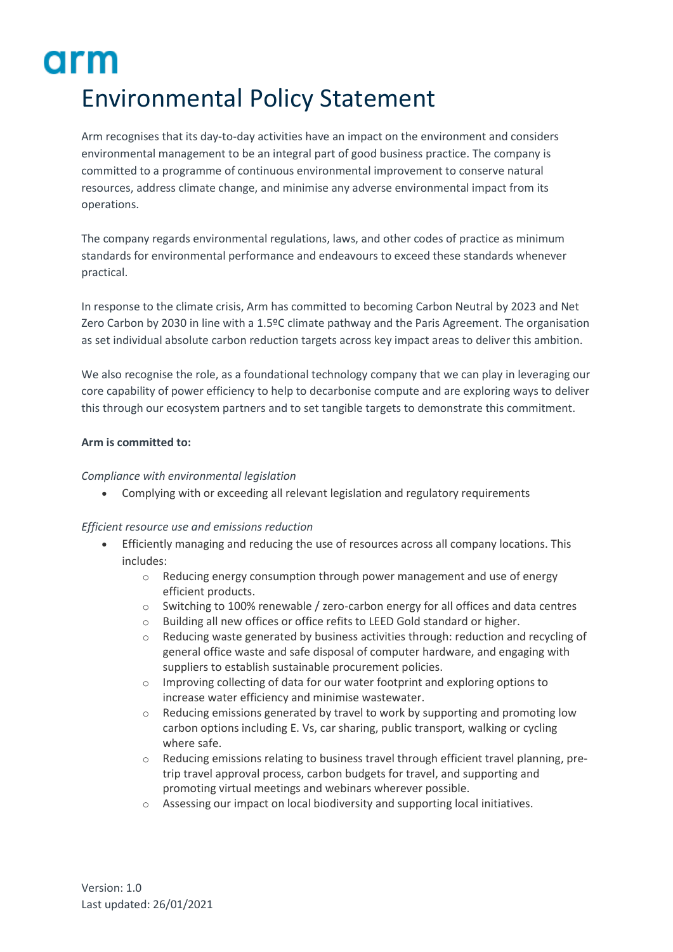# arm Environmental Policy Statement

Arm recognises that its day-to-day activities have an impact on the environment and considers environmental management to be an integral part of good business practice. The company is committed to a programme of continuous environmental improvement to conserve natural resources, address climate change, and minimise any adverse environmental impact from its operations.

The company regards environmental regulations, laws, and other codes of practice as minimum standards for environmental performance and endeavours to exceed these standards whenever practical.

In response to the climate crisis, Arm has committed to becoming Carbon Neutral by 2023 and Net Zero Carbon by 2030 in line with a 1.5ºC climate pathway and the Paris Agreement. The organisation as set individual absolute carbon reduction targets across key impact areas to deliver this ambition.

We also recognise the role, as a foundational technology company that we can play in leveraging our core capability of power efficiency to help to decarbonise compute and are exploring ways to deliver this through our ecosystem partners and to set tangible targets to demonstrate this commitment.

## **Arm is committed to:**

## *Compliance with environmental legislation*

• Complying with or exceeding all relevant legislation and regulatory requirements

# *Efficient resource use and emissions reduction*

- Efficiently managing and reducing the use of resources across all company locations. This includes:
	- $\circ$  Reducing energy consumption through power management and use of energy efficient products.
	- o Switching to 100% renewable / zero-carbon energy for all offices and data centres
	- o Building all new offices or office refits to LEED Gold standard or higher.
	- Reducing waste generated by business activities through: reduction and recycling of general office waste and safe disposal of computer hardware, and engaging with suppliers to establish sustainable procurement policies.
	- o Improving collecting of data for our water footprint and exploring options to increase water efficiency and minimise wastewater.
	- $\circ$  Reducing emissions generated by travel to work by supporting and promoting low carbon options including E. Vs, car sharing, public transport, walking or cycling where safe.
	- $\circ$  Reducing emissions relating to business travel through efficient travel planning, pretrip travel approval process, carbon budgets for travel, and supporting and promoting virtual meetings and webinars wherever possible.
	- o Assessing our impact on local biodiversity and supporting local initiatives.